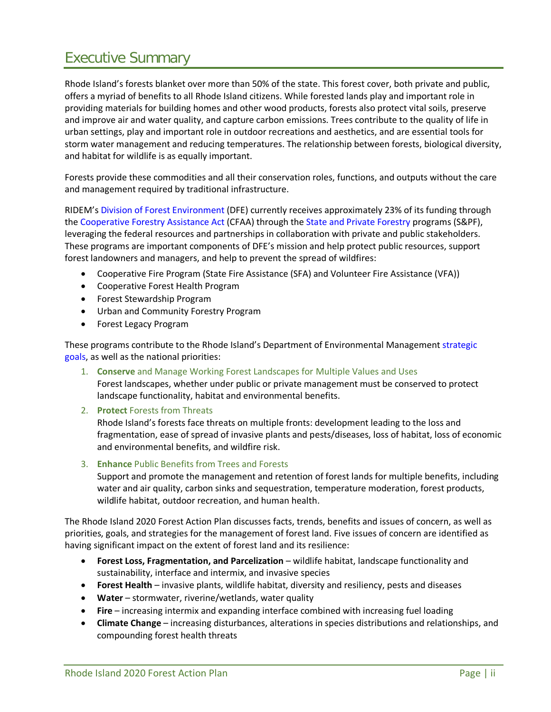# Executive Summary

Rhode Island's forests blanket over more than 50% of the state. This forest cover, both private and public, offers a myriad of benefits to all Rhode Island citizens. While forested lands play and important role in providing materials for building homes and other wood products, forests also protect vital soils, preserve and improve air and water quality, and capture carbon emissions. Trees contribute to the quality of life in urban settings, play and important role in outdoor recreations and aesthetics, and are essential tools for storm water management and reducing temperatures. The relationship between forests, biological diversity, and habitat for wildlife is as equally important.

Forests provide these commodities and all their conservation roles, functions, and outputs without the care and management required by traditional infrastructure.

RIDEM's [Division of Forest Environment](http://www.dem.ri.gov/programs/forestry/) (DFE) currently receives approximately 23% of its funding through the [Cooperative Forestry Assistance Act](https://www.fs.fed.us/spf/coop/library/SPF-CF%20handbook.pdf) (CFAA) through the [State and Private Forestry](https://www.fs.usda.gov/about-agency/state-private-forestry) programs (S&PF), leveraging the federal resources and partnerships in collaboration with private and public stakeholders. These programs are important components of DFE's mission and help protect public resources, support forest landowners and managers, and help to prevent the spread of wildfires:

- Cooperative Fire Program (State Fire Assistance (SFA) and Volunteer Fire Assistance (VFA))
- Cooperative Forest Health Program
- Forest Stewardship Program
- Urban and Community Forestry Program
- Forest Legacy Program

These programs contribute to the Rhode Island's Department of Environmental Managemen[t strategic](http://www.dem.ri.gov/director/documents/plan2018-22.pdf)  [goals,](http://www.dem.ri.gov/director/documents/plan2018-22.pdf) as well as the national priorities:

- 1. **Conserve** and Manage Working Forest Landscapes for Multiple Values and Uses Forest landscapes, whether under public or private management must be conserved to protect landscape functionality, habitat and environmental benefits.
- 2. **Protect** Forests from Threats

Rhode Island's forests face threats on multiple fronts: development leading to the loss and fragmentation, ease of spread of invasive plants and pests/diseases, loss of habitat, loss of economic and environmental benefits, and wildfire risk.

3. **Enhance** Public Benefits from Trees and Forests

Support and promote the management and retention of forest lands for multiple benefits, including water and air quality, carbon sinks and sequestration, temperature moderation, forest products, wildlife habitat, outdoor recreation, and human health.

The Rhode Island 2020 Forest Action Plan discusses facts, trends, benefits and issues of concern, as well as priorities, goals, and strategies for the management of forest land. Five issues of concern are identified as having significant impact on the extent of forest land and its resilience:

- **Forest Loss, Fragmentation, and Parcelization** wildlife habitat, landscape functionality and sustainability, interface and intermix, and invasive species
- **Forest Health** invasive plants, wildlife habitat, diversity and resiliency, pests and diseases
- **Water** stormwater, riverine/wetlands, water quality
- **Fire** increasing intermix and expanding interface combined with increasing fuel loading
- **Climate Change** increasing disturbances, alterations in species distributions and relationships, and compounding forest health threats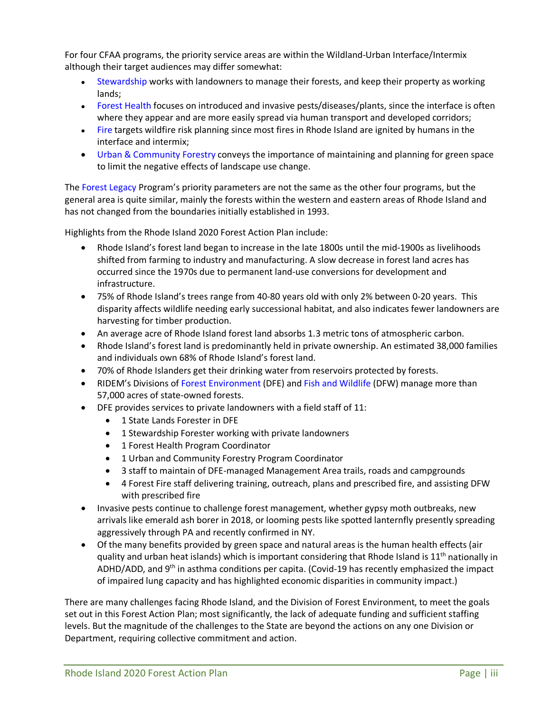For four CFAA programs, the priority service areas are within the Wildland-Urban Interface/Intermix although their target audiences may differ somewhat:

- [Stewardship](http://www.dem.ri.gov/programs/forestry/stewardship/index.php) works with landowners to manage their forests, and keep their property as working lands;
- [Forest Health](http://www.dem.ri.gov/programs/forestry/forest-health/index.php) focuses on introduced and invasive pests/diseases/plants, since the interface is often where they appear and are more easily spread via human transport and developed corridors;
- [Fire](http://www.dem.ri.gov/programs/forestry/fire-program/index.php) targets wildfire risk planning since most fires in Rhode Island are ignited by humans in the interface and intermix;
- [Urban & Community Forestry](http://www.dem.ri.gov/programs/forestry/urban-forestry/) conveys the importance of maintaining and planning for green space to limit the negative effects of landscape use change.

The [Forest Legacy](http://www.dem.ri.gov/programs/forestry/forestlegacy/) Program's priority parameters are not the same as the other four programs, but the general area is quite similar, mainly the forests within the western and eastern areas of Rhode Island and has not changed from the boundaries initially established in 1993.

Highlights from the Rhode Island 2020 Forest Action Plan include:

- Rhode Island's forest land began to increase in the late 1800s until the mid-1900s as livelihoods shifted from farming to industry and manufacturing. A slow decrease in forest land acres has occurred since the 1970s due to permanent land-use conversions for development and infrastructure.
- 75% of Rhode Island's trees range from 40-80 years old with only 2% between 0-20 years. This disparity affects wildlife needing early successional habitat, and also indicates fewer landowners are harvesting for timber production.
- An average acre of Rhode Island forest land absorbs 1.3 metric tons of atmospheric carbon.
- Rhode Island's forest land is predominantly held in private ownership. An estimated 38,000 families and individuals own 68% of Rhode Island's forest land.
- 70% of Rhode Islanders get their drinking water from reservoirs protected by forests.
- RIDEM's Divisions of [Forest Environment](http://www.dem.ri.gov/programs/forestry/) (DFE) and [Fish and Wildlife](http://www.dem.ri.gov/programs/fish-wildlife/) (DFW) manage more than 57,000 acres of state-owned forests.
- DFE provides services to private landowners with a field staff of 11:
	- 1 State Lands Forester in DFE
	- 1 Stewardship Forester working with private landowners
	- 1 Forest Health Program Coordinator
	- 1 Urban and Community Forestry Program Coordinator
	- 3 staff to maintain of DFE-managed Management Area trails, roads and campgrounds
	- 4 Forest Fire staff delivering training, outreach, plans and prescribed fire, and assisting DFW with prescribed fire
- Invasive pests continue to challenge forest management, whether gypsy moth outbreaks, new arrivals like emerald ash borer in 2018, or looming pests like spotted lanternfly presently spreading aggressively through PA and recently confirmed in NY.
- Of the many benefits provided by green space and natural areas is the human health effects (air quality and urban heat islands) which is important considering that Rhode Island is  $11<sup>th</sup>$  nationally in ADHD/ADD, and 9<sup>th</sup> in asthma conditions per capita. (Covid-19 has recently emphasized the impact of impaired lung capacity and has highlighted economic disparities in community impact.)

There are many challenges facing Rhode Island, and the Division of Forest Environment, to meet the goals set out in this Forest Action Plan; most significantly, the lack of adequate funding and sufficient staffing levels. But the magnitude of the challenges to the State are beyond the actions on any one Division or Department, requiring collective commitment and action.